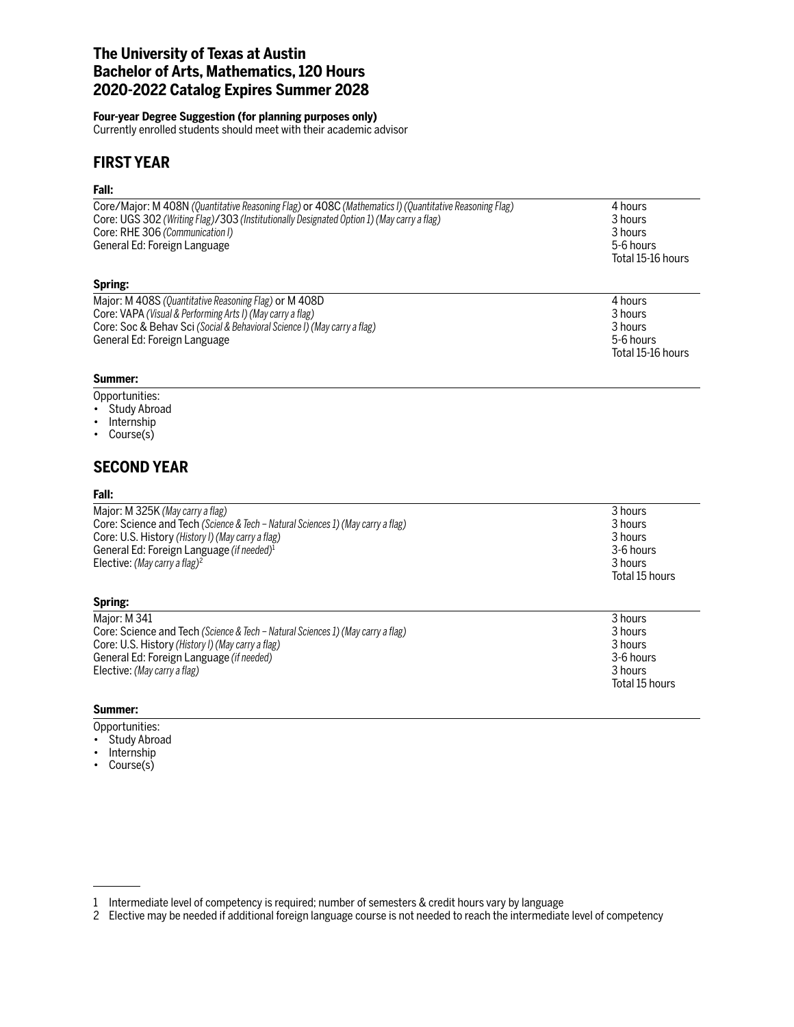# **The University of Texas at Austin Bachelor of Arts, Mathematics, 120 Hours 2020-2022 Catalog Expires Summer 2028**

### **Four-year Degree Suggestion (for planning purposes only)**

Currently enrolled students should meet with their academic advisor

# **FIRST YEAR**

### **Fall:**

| Major: M 408S (Quantitative Reasoning Flag) or M 408D                                                  | $\Lambda$ houre   |
|--------------------------------------------------------------------------------------------------------|-------------------|
| Spring:                                                                                                |                   |
|                                                                                                        | Total 15-16 hours |
| General Ed: Foreign Language                                                                           | 5-6 hours         |
| Core: RHE 306 (Communication I)                                                                        | 3 hours           |
| Core: UGS 302 (Writing Flag)/303 (Institutionally Designated Option 1) (May carry a flag)              | 3 hours           |
| Core/Major: M 408N (Quantitative Reasoning Flag) or 408C (Mathematics I) (Quantitative Reasoning Flag) | 4 hours           |

| Major: M 408S (Quantitative Reasoning Flag) or M 408D                    | 4 hours           |
|--------------------------------------------------------------------------|-------------------|
| Core: VAPA (Visual & Performing Arts I) (May carry a flag)               | 3 hours           |
| Core: Soc & Behav Sci (Social & Behavioral Science I) (May carry a flag) | 3 hours           |
| General Ed: Foreign Language                                             | 5-6 hours         |
|                                                                          | Total 15-16 hours |

#### **Summer:**

Opportunities:

- Study Abroad
- Internship
- Course(s)

# **SECOND YEAR**

### **Fall:**

Major: M 325K *(May carry a flag)* 3 hours Core: Science and Tech *(Science & Tech – Natural Sciences 1) (May carry a flag)* Core: U.S. History *(History I) (May carry a flag)* 3 hours 3 hours 3 hours 3 hours 3 hours 3 hours 3 hours 3 hours 3 hours 3 hours 3 hours 3 hours 3 hours 3 hours 3 hours 3 hours 3 hours 3 hours 3 hours 3 hours 3 hours 3 General Ed: Foreign Language *(if needed)*<sup>1</sup> 3-6 hours and the set of the set of the set of the set of the set of the set of the set of the set of the set of the set of the set of the set of the set of the set of the set Elective: *(May carry a flag)<sup>2</sup>* 3 hours and 2 and 2 and 2 and 2 and 2 and 2 and 2 and 2 and 2 and 3 hours 3 hours 3 hours 3 hours 3 hours 3 hours 3 hours 3 hours 3 hours 3 hours 3 hours 3 hours 3 hours 3 hours 3 hours 3

## **Spring:**

Major: M 341 3 hours and the set of the set of the set of the set of the set of the set of the set of the set of the set of the set of the set of the set of the set of the set of the set of the set of the set of the set of Core: Science and Tech *(Science & Tech – Natural Sciences 1) (May carry a flag)* 3 hours Core: U.S. History *(History I) (May carry a flag)* 3 hours General Ed: Foreign Language (if needed) Elective: *(May carry a flag)* 3 hours<br>
3 hours<br>
3 **hours**<br>
3 **hours** 

### **Summer:**

Opportunities:

- Study Abroad
- Internship
- Course(s)

1 Intermediate level of competency is required; number of semesters & credit hours vary by language

- Total 15 hours
- Total 15 hours

<sup>2</sup> Elective may be needed if additional foreign language course is not needed to reach the intermediate level of competency